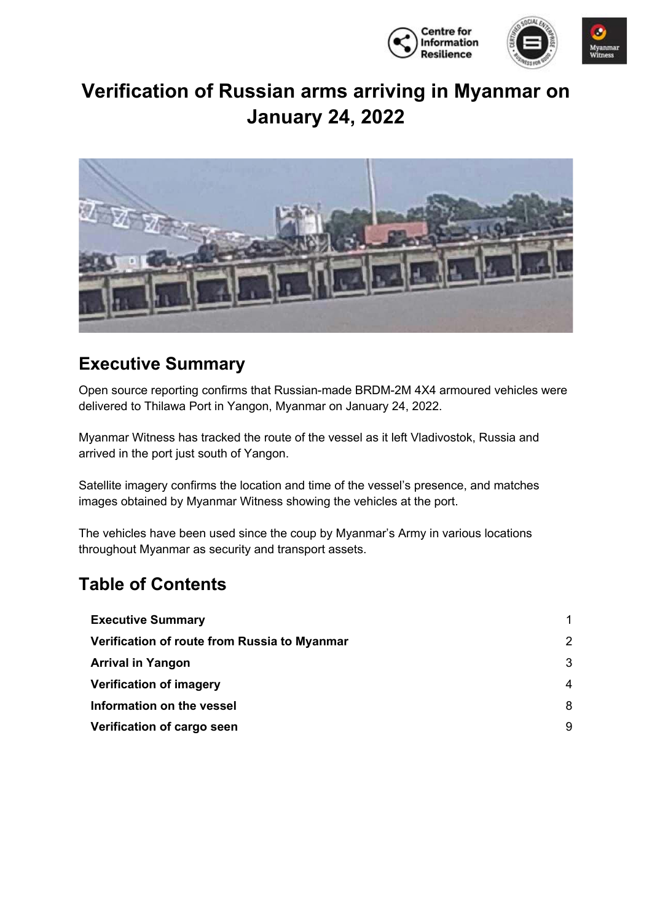



# **Verification of Russian arms arriving in Myanmar on January 24, 2022**



### **Executive Summary**

Open source reporting confirms that Russian-made BRDM-2M 4X4 armoured vehicles were delivered to Thilawa Port in Yangon, Myanmar on January 24, 2022.

Myanmar Witness has tracked the route of the vessel as it left Vladivostok, Russia and arrived in the port just south of Yangon.

Satellite imagery confirms the location and time of the vessel's presence, and matches images obtained by Myanmar Witness showing the vehicles at the port.

The vehicles have been used since the coup by Myanmar's Army in various locations throughout Myanmar as security and transport assets.

### **Table of Contents**

| <b>Executive Summary</b>                     | 1.            |
|----------------------------------------------|---------------|
| Verification of route from Russia to Myanmar | $\mathcal{P}$ |
| <b>Arrival in Yangon</b>                     | 3             |
| <b>Verification of imagery</b>               | 4             |
| Information on the vessel                    | 8             |
| Verification of cargo seen                   | 9             |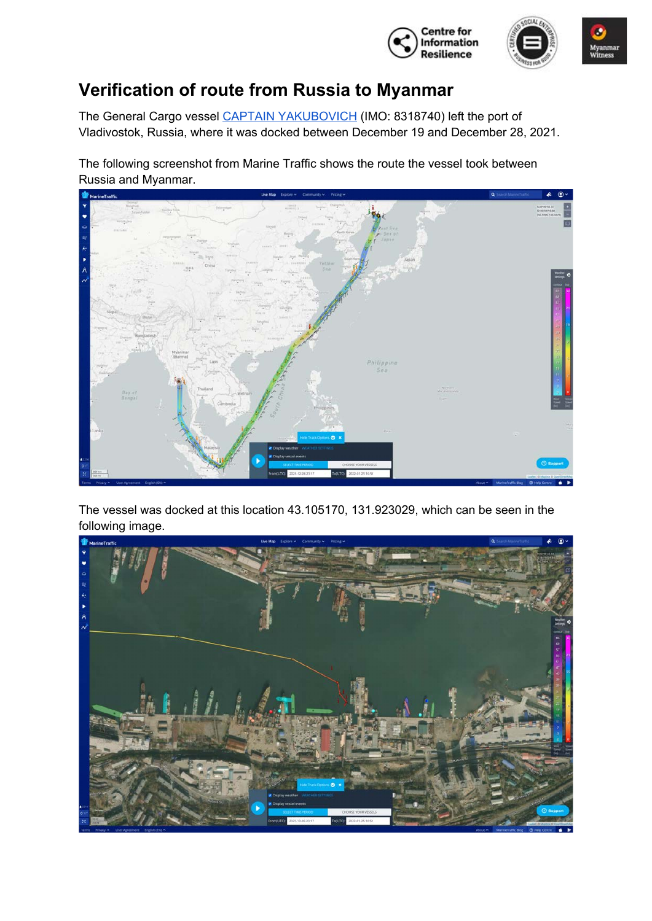



### **Verification of route from Russia to Myanmar**

The General Cargo vessel CAPTAIN YAKUBOVICH (IMO: 8318740) left the port of Vladivostok, Russia, where it was docked between December 19 and December 28, 2021.

The following screenshot from Marine Traffic shows the route the vessel took between Russia and Myanmar.



The vessel was docked at this location 43.105170, 131.923029, which can be seen in the following image.

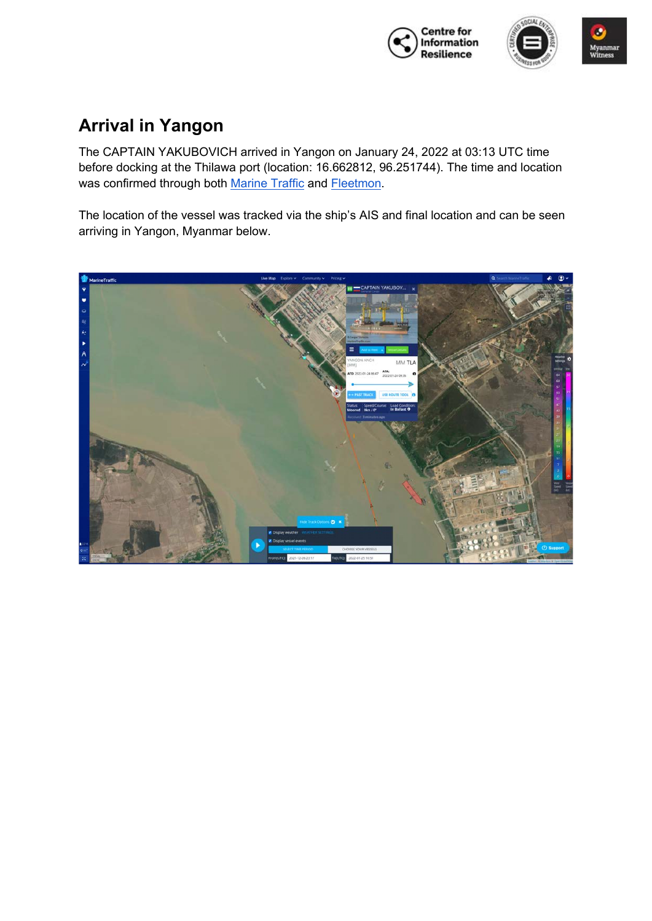



## **Arrival in Yangon**

The CAPTAIN YAKUBOVICH arrived in Yangon on January 24, 2022 at 03:13 UTC time before docking at the Thilawa port (location: 16.662812, 96.251744). The time and location was confirmed through both Marine Traffic and Fleetmon.

The location of the vessel was tracked via the ship's AIS and final location and can be seen arriving in Yangon, Myanmar below.

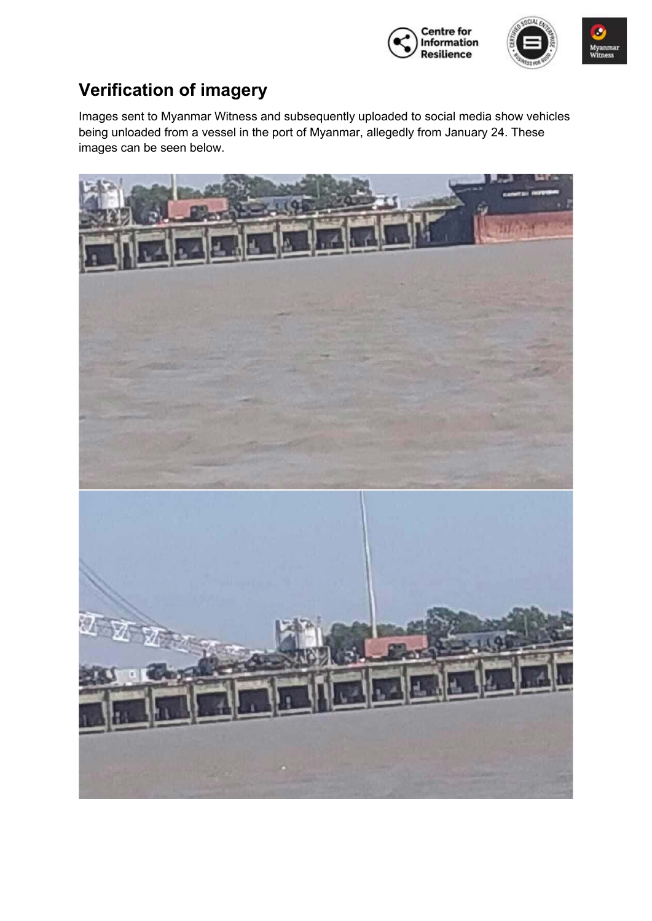



## **Verification of imagery**

Images sent to Myanmar Witness and subsequently uploaded to social media show vehicles being unloaded from a vessel in the port of Myanmar, allegedly from January 24. These images can be seen below.

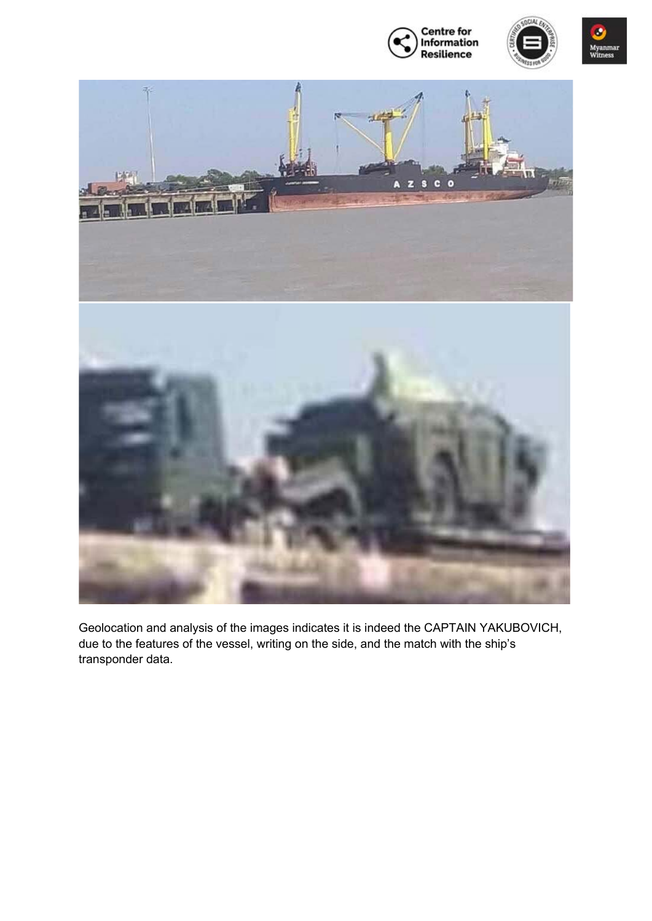







Geolocation and analysis of the images indicates it is indeed the CAPTAIN YAKUBOVICH, due to the features of the vessel, writing on the side, and the match with the ship's transponder data.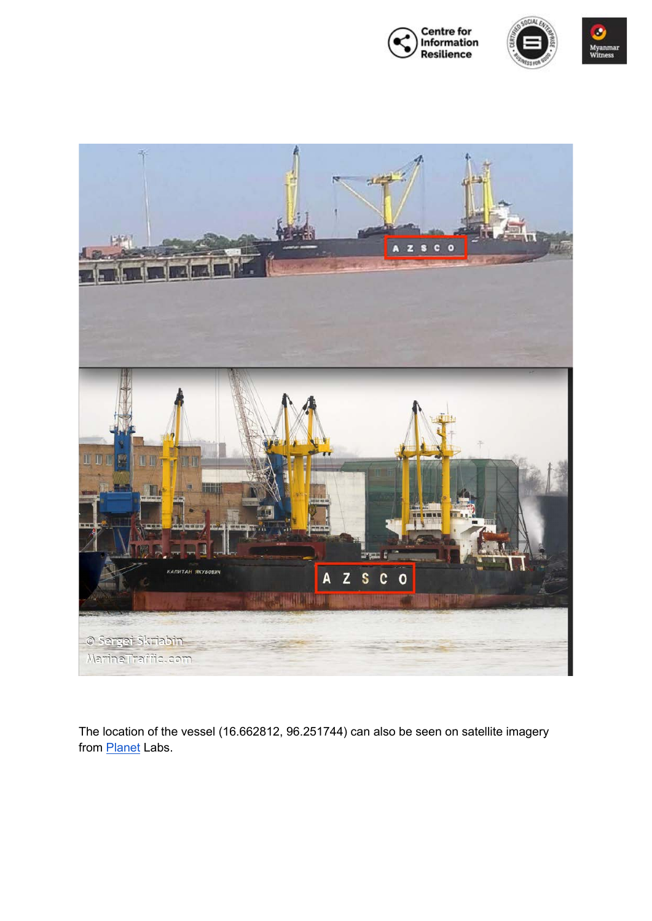







The location of the vessel (16.662812, 96.251744) can also be seen on satellite imagery from **Planet** Labs.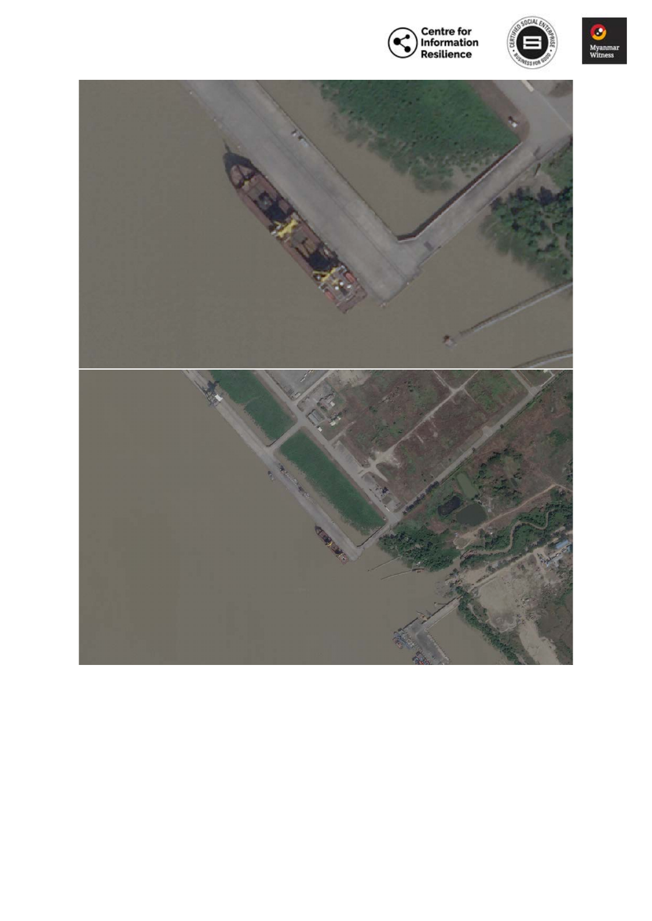





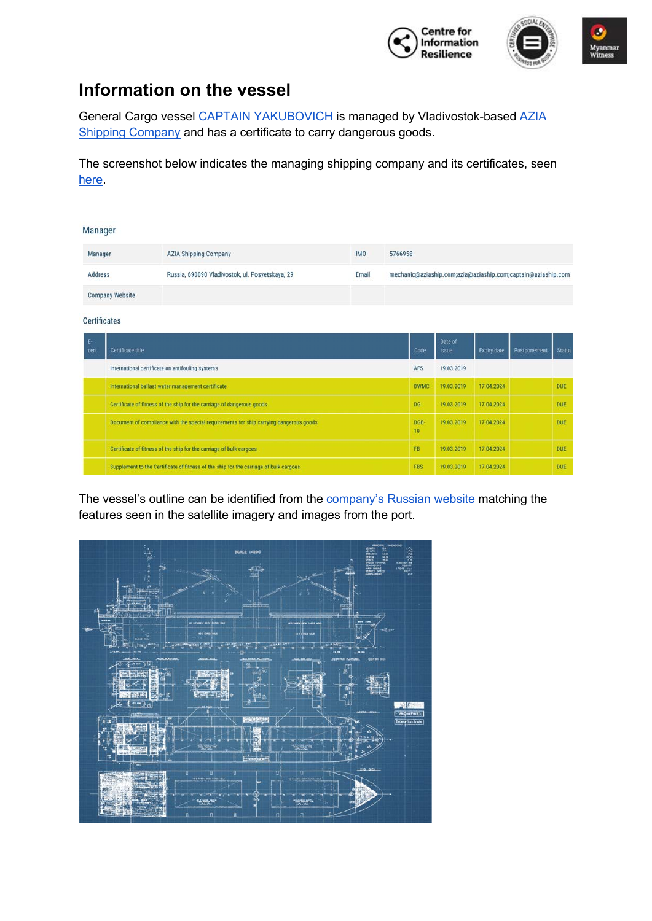

#### **Information on the vessel**

General Cargo vessel CAPTAIN YAKUBOVICH is managed by Vladivostok-based AZIA Shipping Company and has a certificate to carry dangerous goods.

The screenshot below indicates the managing shipping company and its certificates, seen here.

| Manager      |                                                                                        |                                                       |       |                                                              |  |            |                    |              |               |
|--------------|----------------------------------------------------------------------------------------|-------------------------------------------------------|-------|--------------------------------------------------------------|--|------------|--------------------|--------------|---------------|
| Manager      |                                                                                        | <b>AZIA Shipping Company</b><br><b>IMO</b><br>5766958 |       |                                                              |  |            |                    |              |               |
| Address      |                                                                                        | Russia, 690090 Vladivostok, ul. Posyetskaya, 29       | Email | mechanic@aziaship.com;azia@aziaship.com;captain@aziaship.com |  |            |                    |              |               |
|              | <b>Company Website</b>                                                                 |                                                       |       |                                                              |  |            |                    |              |               |
| Certificates |                                                                                        |                                                       |       |                                                              |  |            |                    |              |               |
| Ε.<br>cert   | Certificate title                                                                      |                                                       |       |                                                              |  |            | <b>Expiry date</b> | Postponement | <b>Status</b> |
|              | International certificate on antifouling systems                                       |                                                       |       |                                                              |  | 19.03.2019 |                    |              |               |
|              | International ballast water management certificate                                     |                                                       |       |                                                              |  |            | 17.04.2024         |              | DUE           |
|              | Certificate of fitness of the ship for the carriage of dangerous goods                 |                                                       |       |                                                              |  |            | 17.04.2024         |              | DUE           |
|              | Document of compliance with the special requirements for ship carrying dangerous goods |                                                       |       |                                                              |  |            | 17.04.2024         |              | DUE           |
|              | Certificate of fitness of the ship for the carriage of bulk cargoes                    |                                                       |       |                                                              |  |            | 17.04.2024         |              | DUE           |
|              | Supplement to the Certificate of fitness of the ship for the carriage of bulk cargoes  |                                                       |       |                                                              |  |            | 17.04.2024         |              | DUE           |

The vessel's outline can be identified from the company's Russian website matching the features seen in the satellite imagery and images from the port.

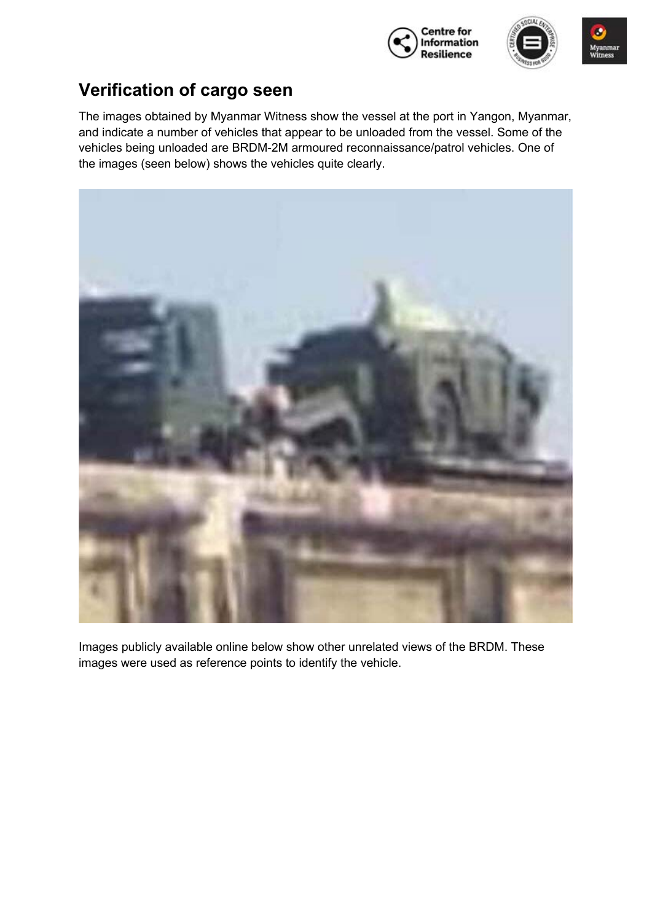



### **Verification of cargo seen**

The images obtained by Myanmar Witness show the vessel at the port in Yangon, Myanmar, and indicate a number of vehicles that appear to be unloaded from the vessel. Some of the vehicles being unloaded are BRDM-2M armoured reconnaissance/patrol vehicles. One of the images (seen below) shows the vehicles quite clearly.



Images publicly available online below show other unrelated views of the BRDM. These images were used as reference points to identify the vehicle.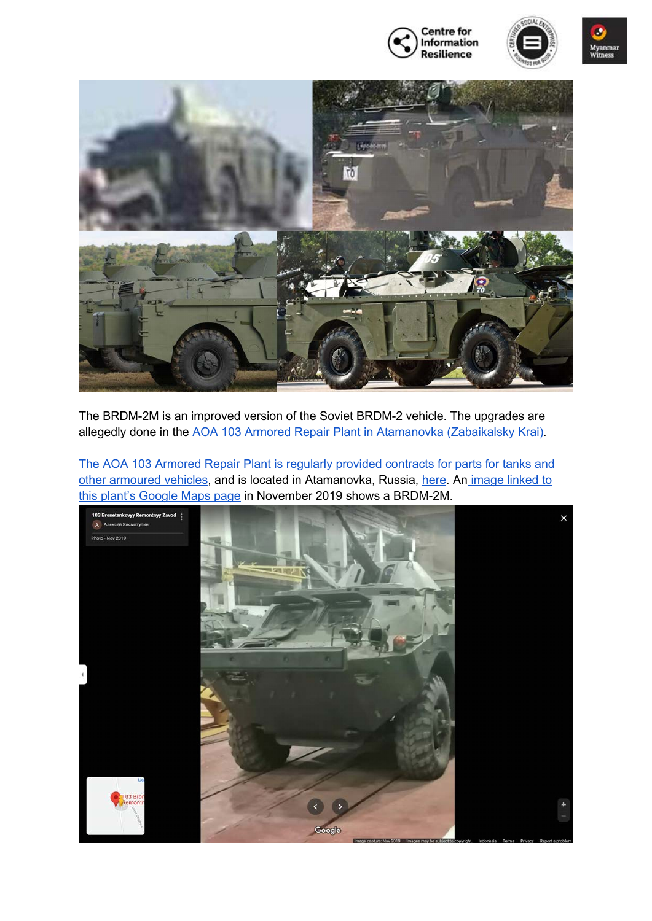







The BRDM-2M is an improved version of the Soviet BRDM-2 vehicle. The upgrades are allegedly done in the AOA 103 Armored Repair Plant in Atamanovka (Zabaikalsky Krai).

The AOA 103 Armored Repair Plant is regularly provided contracts for parts for tanks and other armoured vehicles, and is located in Atamanovka, Russia, here. An image linked to this plant's Google Maps page in November 2019 shows a BRDM-2M.

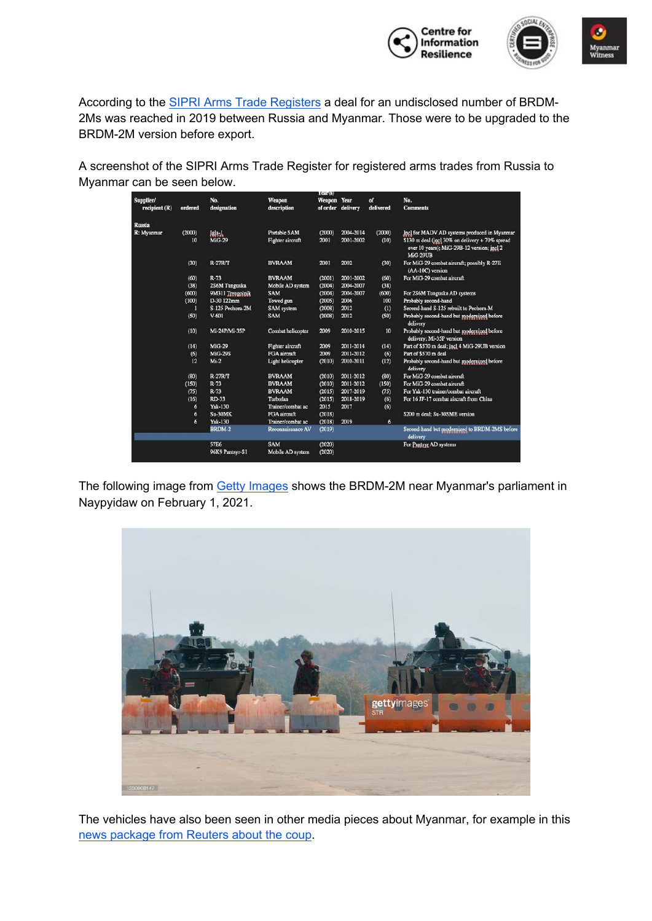



According to the SIPRI Arms Trade Registers a deal for an undisclosed number of BRDM-2Ms was reached in 2019 between Russia and Myanmar. Those were to be upgraded to the BRDM-2M version before export.

A screenshot of the SIPRI Arms Trade Register for registered arms trades from Russia to Myanmar can be seen below.

|                            |         |                    |                         | rear(s) |                           |                 |                                                                                                                  |
|----------------------------|---------|--------------------|-------------------------|---------|---------------------------|-----------------|------------------------------------------------------------------------------------------------------------------|
| Supplier/<br>recipient (R) | ordered | No.<br>designation | Weapon<br>description   | Weapon  | Year<br>of order delivery | of<br>delivered | No.<br><b>Comments</b>                                                                                           |
| Russia                     |         |                    |                         |         |                           |                 |                                                                                                                  |
| R: Myanmar                 | (2000)  | Igla-1             | Portable SAM            | (2000)  | 2004-2014                 | (2000)          | Incl for MADV AD systems produced in Myanmar                                                                     |
|                            | 10      | MiG-29             | <b>Fighter</b> aircraft | 2001    | 2001-2002                 | (10)            | \$130 m deal (incl 30% on delivery + 70% spread<br>over 10 years); MiG-29B-12 version; incl 2<br><b>MiG-29UB</b> |
|                            | (30)    | $R-27R/T$          | <b>BVRAAM</b>           | 2001    | 2002                      | (30)            | For MiG-29 combat aircraft; possibly R-27E<br>(AA-10C) version                                                   |
|                            | (60)    | $R-73$             | <b>BVRAAM</b>           | (2001)  | 2001-2002                 | (60)            | For MiG-29 combat aircraft                                                                                       |
|                            | (38)    | 2S6M Tunguska      | Mobile AD system        | (2004)  | 2004-2007                 | (38)            |                                                                                                                  |
|                            | (600)   | 9M311 Treugolnik   | <b>SAM</b>              | (2004)  | 2004-2007                 | (600)           | For 2S6M Tunguska AD systems                                                                                     |
|                            | (100)   | D-30 122mm         | Towed gun               | (2005)  | 2006                      | 100             | Probably second-hand                                                                                             |
|                            | 1       | S-125 Pechora-2M   | <b>SAM</b> system       | (2008)  | 2012                      | (1)             | Second-hand S-125 rebuilt to Pechora-M                                                                           |
|                            | (50)    | $V-601$            | <b>SAM</b>              | (2008)  | 2012                      | (50)            | Probably second-hand but modernized before<br>delivery                                                           |
|                            | (10)    | Mi-24P/Mi-35P      | Combat helicopter       | 2009    | 2010-2015                 | 10              | Probably second-hand but modernized before<br>delivery: Mi-35P version                                           |
|                            | (14)    | MiG-29             | Fighter aircraft        | 2009    | 2011-2014                 | (14)            | Part of \$570 m deal; incl 4 MiG-29UB version                                                                    |
|                            | (6)     | <b>MiG-29S</b>     | FGA aircraft            | 2009    | 2011-2012                 | (6)             | Part of \$570 m deal                                                                                             |
|                            | 12      | $Mi-2$             | Light helicopter        | (2010)  | 2010-2011                 | (12)            | Probably second-hand but modernized before<br>delivery                                                           |
|                            | (80)    | $R-27R/T$          | <b>BVRAAM</b>           | (2010)  | 2011-2012                 | (80)            | For MiG-29 combat aircraft                                                                                       |
|                            | (150)   | $R-73$             | <b>BVRAAM</b>           | (2010)  | 2011-2012                 | (150)           | For MiG-29 combat aircraft                                                                                       |
|                            | (75)    | $R-73$             | <b>BVRAAM</b>           | (2015)  | 2017-2019                 | (75)            | For Yak-130 trainer/combat aircraft                                                                              |
|                            | (16)    | RD-33              | Turbofan                | (2015)  | 2018-2019                 | (6)             | For 16 JF-17 combat aircraft from China                                                                          |
|                            | 6       | <b>Yak-130</b>     | Trainer/combat ac       | 2015    | 2017                      | (6)             |                                                                                                                  |
|                            | 6       | Su-30MK            | FGA aircraft            | (2018)  |                           |                 | \$200 m deal; Su-30SME version                                                                                   |
|                            | 6       | Yak-130            | Trainer/combat ac       | (2018)  | 2019                      | 6               |                                                                                                                  |
|                            |         | <b>BRDM-2</b>      | Reconnaissance AV       | (2019)  |                           |                 | Second-hand but modernized to BRDM-2MS before<br>delivery                                                        |
|                            |         | 57E6               | <b>SAM</b>              | (2020)  |                           |                 | For Pantsyr AD systems                                                                                           |
|                            |         | 96K9 Pantsyr-S1    | Mobile AD system        | (2020)  |                           |                 |                                                                                                                  |

The following image from Getty Images shows the BRDM-2M near Myanmar's parliament in Naypyidaw on February 1, 2021.



The vehicles have also been seen in other media pieces about Myanmar, for example in this news package from Reuters about the coup.